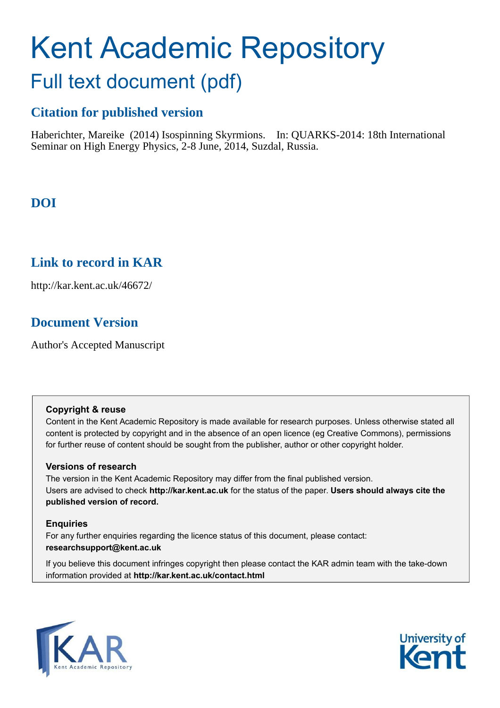# Kent Academic Repository Full text document (pdf)

# **Citation for published version**

Haberichter, Mareike (2014) Isospinning Skyrmions. In: QUARKS-2014: 18th International Seminar on High Energy Physics, 2-8 June, 2014, Suzdal, Russia.

# **DOI**

# **Link to record in KAR**

http://kar.kent.ac.uk/46672/

# **Document Version**

Author's Accepted Manuscript

#### **Copyright & reuse**

Content in the Kent Academic Repository is made available for research purposes. Unless otherwise stated all content is protected by copyright and in the absence of an open licence (eg Creative Commons), permissions for further reuse of content should be sought from the publisher, author or other copyright holder.

## **Versions of research**

The version in the Kent Academic Repository may differ from the final published version. Users are advised to check **http://kar.kent.ac.uk** for the status of the paper. **Users should always cite the published version of record.**

#### **Enquiries**

For any further enquiries regarding the licence status of this document, please contact: **researchsupport@kent.ac.uk**

If you believe this document infringes copyright then please contact the KAR admin team with the take-down information provided at **http://kar.kent.ac.uk/contact.html**



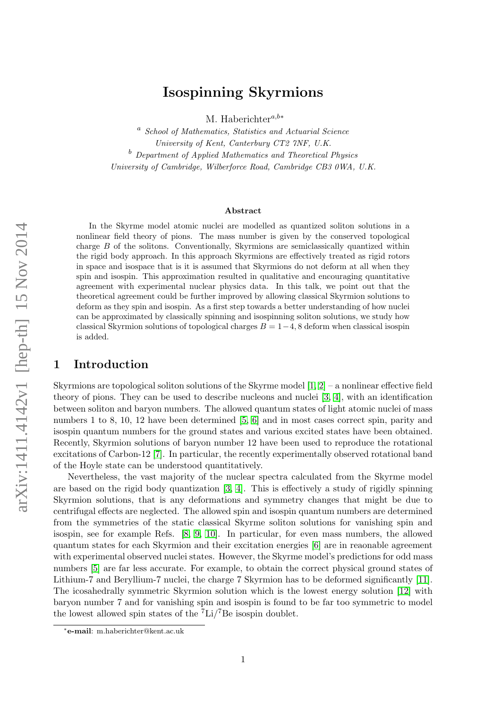## Isospinning Skyrmions

M. Haberichter $a,b*$ 

a *School of Mathematics, Statistics and Actuarial Science University of Kent, Canterbury CT2 7NF, U.K.* <sup>b</sup> *Department of Applied Mathematics and Theoretical Physics University of Cambridge, Wilberforce Road, Cambridge CB3 0WA, U.K.*

#### Abstract

<span id="page-1-1"></span>In the Skyrme model atomic nuclei are modelled as quantized soliton solutions in a nonlinear field theory of pions. The mass number is given by the conserved topological charge B of the solitons. Conventionally, Skyrmions are semiclassically quantized within the rigid body approach. In this approach Skyrmions are effectively treated as rigid rotors in space and isospace that is it is assumed that Skyrmions do not deform at all when they spin and isospin. This approximation resulted in qualitative and encouraging quantitative agreement with experimental nuclear physics data. In this talk, we point out that the theoretical agreement could be further improved by allowing classical Skyrmion solutions to deform as they spin and isospin. As a first step towards a better understanding of how nuclei can be approximated by classically spinning and isospinning soliton solutions, we study how classical Skyrmion solutions of topological charges  $B = 1-4$ , 8 deform when classical isospin is added.

## 1 Introduction

Skyrmions are topological soliton solutions of the Skyrme model  $[1, 2]$  $[1, 2]$  – a nonlinear effective field theory of pions. They can be used to describe nucleons and nuclei [\[3,](#page-9-2) [4\]](#page-9-3), with an identification between soliton and baryon numbers. The allowed quantum states of light atomic nuclei of mass numbers 1 to 8, 10, 12 have been determined [\[5,](#page-9-4) [6\]](#page-9-5) and in most cases correct spin, parity and isospin quantum numbers for the ground states and various excited states have been obtained. Recently, Skyrmion solutions of baryon number 12 have been used to reproduce the rotational excitations of Carbon-12 [\[7\]](#page-9-6). In particular, the recently experimentally observed rotational band of the Hoyle state can be understood quantitatively.

<span id="page-1-0"></span>Nevertheless, the vast majority of the nuclear spectra calculated from the Skyrme model are based on the rigid body quantization [\[3,](#page-9-2) [4\]](#page-9-3). This is effectively a study of rigidly spinning Skyrmion solutions, that is any deformations and symmetry changes that might be due to centrifugal effects are neglected. The allowed spin and isospin quantum numbers are determined from the symmetries of the static classical Skyrme soliton solutions for vanishing spin and isospin, see for example Refs. [\[8,](#page-9-7) [9,](#page-9-8) [10\]](#page-9-9). In particular, for even mass numbers, the allowed quantum states for each Skyrmion and their excitation energies [\[6\]](#page-9-5) are in reaonable agreement with experimental observed nuclei states. However, the Skyrme model's predictions for odd mass numbers [\[5\]](#page-9-4) are far less accurate. For example, to obtain the correct physical ground states of Lithium-7 and Beryllium-7 nuclei, the charge 7 Skyrmion has to be deformed significantly [\[11\]](#page-9-10). The icosahedrally symmetric Skyrmion solution which is the lowest energy solution [\[12\]](#page-9-11) with baryon number 7 and for vanishing spin and isospin is found to be far too symmetric to model the lowest allowed spin states of the  $Li^{7}$ Be isospin doublet.

<span id="page-1-2"></span><sup>∗</sup> e-mail: m.haberichter@kent.ac.uk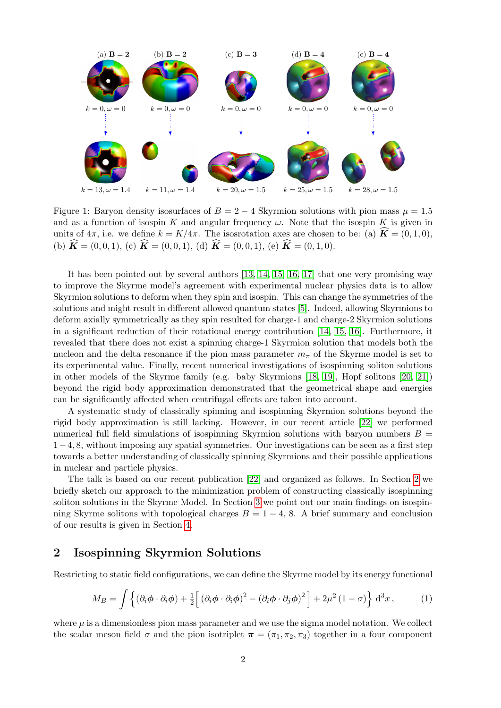

<span id="page-2-0"></span>Figure 1: Baryon density isosurfaces of  $B = 2 - 4$  Skyrmion solutions with pion mass  $\mu = 1.5$ and as a function of isospin K and angular frequency  $\omega$ . Note that the isospin K is given in units of  $4\pi$ , i.e. we define  $k = K/4\pi$ . The isosrotation axes are chosen to be: (a)  $\mathbf{K} = (0, 1, 0)$ , (b)  $\widehat{K} = (0, 0, 1),$  (c)  $\widehat{K} = (0, 0, 1),$  (d)  $\widehat{K} = (0, 0, 1),$  (e)  $\widehat{K} = (0, 1, 0).$ 

It has been pointed out by several authors [\[13,](#page-9-12) [14,](#page-10-0) [15,](#page-10-1) [16,](#page-10-2) [17\]](#page-10-3) that one very promising way to improve the Skyrme model's agreement with experimental nuclear physics data is to allow Skyrmion solutions to deform when they spin and isospin. This can change the symmetries of the solutions and might result in different allowed quantum states [\[5\]](#page-9-4). Indeed, allowing Skyrmions to deform axially symmetrically as they spin resulted for charge-1 and charge-2 Skyrmion solutions in a significant reduction of their rotational energy contribution [\[14,](#page-10-0) [15,](#page-10-1) [16\]](#page-10-2). Furthermore, it revealed that there does not exist a spinning charge-1 Skyrmion solution that models both the nucleon and the delta resonance if the pion mass parameter  $m_{\pi}$  of the Skyrme model is set to its experimental value. Finally, recent numerical investigations of isospinning soliton solutions in other models of the Skyrme family (e.g. baby Skyrmions [\[18,](#page-10-4) [19\]](#page-10-5), Hopf solitons [\[20,](#page-10-6) [21\]](#page-10-7)) beyond the rigid body approximation demonstrated that the geometrical shape and energies can be significantly affected when centrifugal effects are taken into account.

A systematic study of classically spinning and isospinning Skyrmion solutions beyond the rigid body approximation is still lacking. However, in our recent article [\[22\]](#page-10-8) we performed numerical full field simulations of isospinning Skyrmion solutions with baryon numbers  $B =$ 1−4, 8, without imposing any spatial symmetries. Our investigations can be seen as a first step towards a better understanding of classically spinning Skyrmions and their possible applications in nuclear and particle physics.

The talk is based on our recent publication [\[22\]](#page-10-8) and organized as follows. In Section [2](#page-1-0) we briefly sketch our approach to the minimization problem of constructing classically isospinning soliton solutions in the Skyrme Model. In Section [3](#page-4-0) we point out our main findings on isospinning Skyrme solitons with topological charges  $B = 1 - 4$ , 8. A brief summary and conclusion of our results is given in Section [4.](#page-8-0)

## 2 Isospinning Skyrmion Solutions

Restricting to static field configurations, we can define the Skyrme model by its energy functional

<span id="page-2-2"></span><span id="page-2-1"></span>
$$
M_B = \int \left\{ (\partial_i \phi \cdot \partial_i \phi) + \frac{1}{2} \left[ (\partial_i \phi \cdot \partial_i \phi)^2 - (\partial_i \phi \cdot \partial_j \phi)^2 \right] + 2\mu^2 (1 - \sigma) \right\} d^3 x, \tag{1}
$$

where  $\mu$  is a dimensionless pion mass parameter and we use the sigma model notation. We collect the scalar meson field  $\sigma$  and the pion isotriplet  $\pi = (\pi_1, \pi_2, \pi_3)$  together in a four component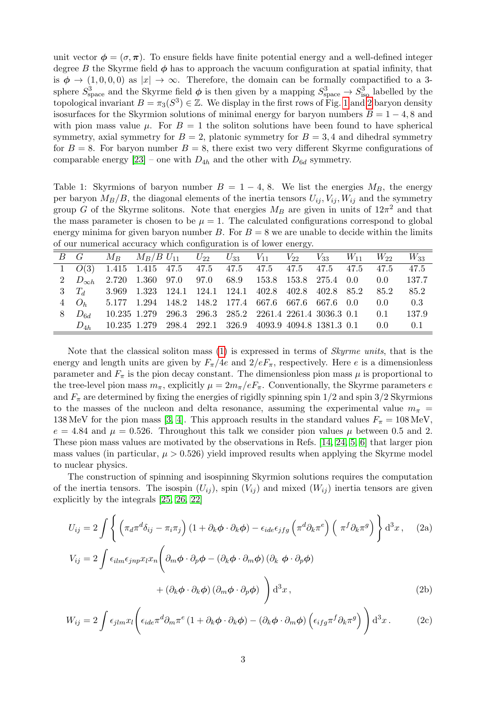unit vector  $\phi = (\sigma, \pi)$ . To ensure fields have finite potential energy and a well-defined integer degree B the Skyrme field  $\phi$  has to approach the vacuum configuration at spatial infinity, that is  $\phi \to (1, 0, 0, 0)$  as  $|x| \to \infty$ . Therefore, the domain can be formally compactified to a 3sphere  $S_{\text{space}}^3$  and the Skyrme field  $\phi$  is then given by a mapping  $S_{\text{space}}^3 \to S_{\text{iso}}^3$  labelled by the topological invariant  $B = \pi_3(S^3) \in \mathbb{Z}$ . We display in the first rows of Fig. [1](#page-1-1) and [2](#page-3-0) baryon density isosurfaces for the Skyrmion solutions of minimal energy for baryon numbers  $B = 1 - 4, 8$  and with pion mass value  $\mu$ . For  $B = 1$  the soliton solutions have been found to have spherical symmetry, axial symmetry for  $B = 2$ , platonic symmetry for  $B = 3, 4$  and dihedral symmetry for  $B = 8$ . For baryon number  $B = 8$ , there exist two very different Skyrme configurations of comparable energy [\[23\]](#page-10-9) – one with  $D_{4h}$  and the other with  $D_{6d}$  symmetry.

Table 1: Skyrmions of baryon number  $B = 1 - 4$ , 8. We list the energies  $M_B$ , the energy per baryon  $M_B/B$ , the diagonal elements of the inertia tensors  $U_{ij}$ ,  $V_{ij}$ ,  $W_{ij}$  and the symmetry group G of the Skyrme solitons. Note that energies  $M_B$  are given in units of  $12\pi^2$  and that the mass parameter is chosen to be  $\mu = 1$ . The calculated configurations correspond to global energy minima for given baryon number B. For  $B = 8$  we are unable to decide within the limits of our numerical accuracy which configuration is of lower energy.

<span id="page-3-0"></span>

| $B$ $G$ $M_B$ $M_B/B$ $U_{11}$ $U_{22}$ $U_{33}$ $V_{11}$ $V_{22}$ $V_{33}$ $W_{11}$ $W_{22}$ $W_{33}$                         |                                                      |  |  |  |                                                         |  |  |  |  |               |       |  |
|--------------------------------------------------------------------------------------------------------------------------------|------------------------------------------------------|--|--|--|---------------------------------------------------------|--|--|--|--|---------------|-------|--|
| $1 \quad 0(3) \quad 1.415 \quad 1.415 \quad 47.5 \quad 47.5 \quad 47.5 \quad 47.5 \quad 47.5 \quad 47.5 \quad 47.5 \quad 47.5$ |                                                      |  |  |  |                                                         |  |  |  |  |               | 47.5  |  |
| 2 $D_{\infty h}$ 2.720 1.360 97.0 97.0 68.9 153.8 153.8 275.4 0.0                                                              |                                                      |  |  |  |                                                         |  |  |  |  | 0.0           | 137.7 |  |
| $3T_d$                                                                                                                         | 3.969 1.323 124.1 124.1 124.1 402.8 402.8 402.8 85.2 |  |  |  |                                                         |  |  |  |  | 85.2          | 85.2  |  |
| $4\quad O_h$                                                                                                                   |                                                      |  |  |  | 5.177 1.294 148.2 148.2 177.4 667.6 667.6 667.6 0.0     |  |  |  |  | $0.0^{\circ}$ | 0.3   |  |
| $8\quad D_{6d}$                                                                                                                |                                                      |  |  |  | 10.235 1.279 296.3 296.3 285.2 2261.4 2261.4 3036.3 0.1 |  |  |  |  | 0.1           | 137.9 |  |
| $D_{4h}$                                                                                                                       |                                                      |  |  |  | 10.235 1.279 298.4 292.1 326.9 4093.9 4094.8 1381.3 0.1 |  |  |  |  | $0.0^{\circ}$ | 0.1   |  |

Note that the classical soliton mass [\(1\)](#page-1-2) is expressed in terms of *Skyrme units*, that is the energy and length units are given by  $F_{\pi}/4e$  and  $2/eF_{\pi}$ , respectively. Here e is a dimensionless parameter and  $F_{\pi}$  is the pion decay constant. The dimensionless pion mass  $\mu$  is proportional to the tree-level pion mass  $m_{\pi}$ , explicitly  $\mu = 2m_{\pi}/eF_{\pi}$ . Conventionally, the Skyrme parameters e and  $F_{\pi}$  are determined by fixing the energies of rigidly spinning spin 1/2 and spin 3/2 Skyrmions to the masses of the nucleon and delta resonance, assuming the experimental value  $m_{\pi}$  = 138 MeV for the pion mass [\[3,](#page-9-2) [4\]](#page-9-3). This approach results in the standard values  $F_{\pi} = 108 \text{ MeV}$ ,  $e = 4.84$  and  $\mu = 0.526$ . Throughout this talk we consider pion values  $\mu$  between 0.5 and 2. These pion mass values are motivated by the observations in Refs. [\[14,](#page-10-0) [24,](#page-10-10) [5,](#page-9-4) [6\]](#page-9-5) that larger pion mass values (in particular,  $\mu > 0.526$ ) yield improved results when applying the Skyrme model to nuclear physics.

<span id="page-3-1"></span>The construction of spinning and isospinning Skyrmion solutions requires the computation of the inertia tensors. The isospin  $(U_{ij})$ , spin  $(V_{ij})$  and mixed  $(W_{ij})$  inertia tensors are given explicitly by the integrals [\[25,](#page-10-11) [26,](#page-10-12) [22\]](#page-10-8)

<span id="page-3-2"></span>
$$
U_{ij} = 2 \int \left\{ \left( \pi_d \pi^d \delta_{ij} - \pi_i \pi_j \right) (1 + \partial_k \phi \cdot \partial_k \phi) - \epsilon_{ide} \epsilon_{jfg} \left( \pi^d \partial_k \pi^e \right) \left( \pi^f \partial_k \pi^g \right) \right\} d^3x, \quad (2a)
$$
  

$$
V_{ij} = 2 \int \epsilon_{ilm} \epsilon_{jnp} x_l x_n \left( \partial_m \phi \cdot \partial_p \phi - (\partial_k \phi \cdot \partial_m \phi) \left( \partial_k \phi \cdot \partial_p \phi \right) \right. \\ \left. + \left( \partial_k \phi \cdot \partial_k \phi \right) \left( \partial_m \phi \cdot \partial_p \phi \right) \right) d^3x, \quad (2b)
$$

<span id="page-3-3"></span>
$$
W_{ij} = 2 \int \epsilon_{jlm} x_l \left( \epsilon_{ide} \pi^d \partial_m \pi^e \left( 1 + \partial_k \phi \cdot \partial_k \phi \right) - \left( \partial_k \phi \cdot \partial_m \phi \right) \left( \epsilon_{ifg} \pi^f \partial_k \pi^g \right) \right) d^3 x \,. \tag{2c}
$$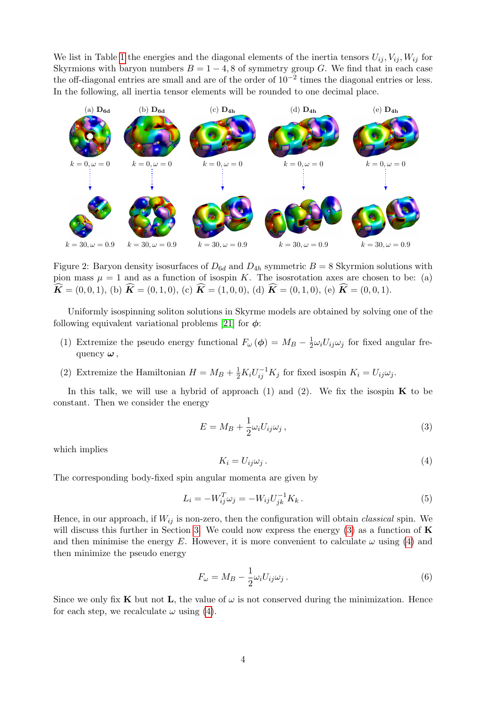<span id="page-4-0"></span>We list in Table [1](#page-2-0) the energies and the diagonal elements of the inertia tensors  $U_{ij}$ ,  $V_{ij}$ ,  $W_{ij}$  for Skyrmions with baryon numbers  $B = 1 - 4$ , 8 of symmetry group G. We find that in each case the off-diagonal entries are small and are of the order of  $10^{-2}$  times the diagonal entries or less. In the following, all inertia tensor elements will be rounded to one decimal place.



Figure 2: Baryon density isosurfaces of  $D_{6d}$  and  $D_{4h}$  symmetric  $B = 8$  Skyrmion solutions with pion mass  $\mu = 1$  and as a function of isospin K. The isosrotation axes are chosen to be: (a)  $\widehat{\mathbf{K}} = (0, 0, 1),$  (b)  $\widehat{\mathbf{K}} = (0, 1, 0),$  (c)  $\widehat{\mathbf{K}} = (1, 0, 0),$  (d)  $\widehat{\mathbf{K}} = (0, 1, 0),$  (e)  $\widehat{\mathbf{K}} = (0, 0, 1).$ 

Uniformly isospinning soliton solutions in Skyrme models are obtained by solving one of the following equivalent variational problems [\[21\]](#page-10-7) for  $\phi$ :

- (1) Extremize the pseudo energy functional  $F_{\omega}(\phi) = M_B \frac{1}{2}$  $\frac{1}{2}\omega_i U_{ij}\omega_j$  for fixed angular frequency  $\omega$ ,
- (2) Extremize the Hamiltonian  $H = M_B + \frac{1}{2} K_i U_{ij}^{-1} K_j$  for fixed isospin  $K_i = U_{ij} \omega_j$ .

In this talk, we will use a hybrid of approach  $(1)$  and  $(2)$ . We fix the isospin **K** to be constant. Then we consider the energy

$$
E = M_B + \frac{1}{2}\omega_i U_{ij}\omega_j , \qquad (3)
$$

which implies

$$
K_i = U_{ij}\omega_j \,. \tag{4}
$$

<span id="page-4-1"></span>The corresponding body-fixed spin angular momenta are given by

$$
L_i = -W_{ij}^T \omega_j = -W_{ij} U_{jk}^{-1} K_k.
$$
\n(5)

Hence, in our approach, if  $W_{ij}$  is non-zero, then the configuration will obtain *classical* spin. We will discuss this further in Section [3.](#page-4-0) We could now express the energy  $(3)$  as a function of **K** and then minimise the energy E. However, it is more convenient to calculate  $\omega$  using [\(4\)](#page-3-2) and then minimize the pseudo energy

$$
F_{\omega} = M_B - \frac{1}{2} \omega_i U_{ij} \omega_j.
$$
\n<sup>(6)</sup>

Since we only fix **K** but not **L**, the value of  $\omega$  is not conserved during the minimization. Hence for each step, we recalculate  $\omega$  using [\(4\)](#page-3-2).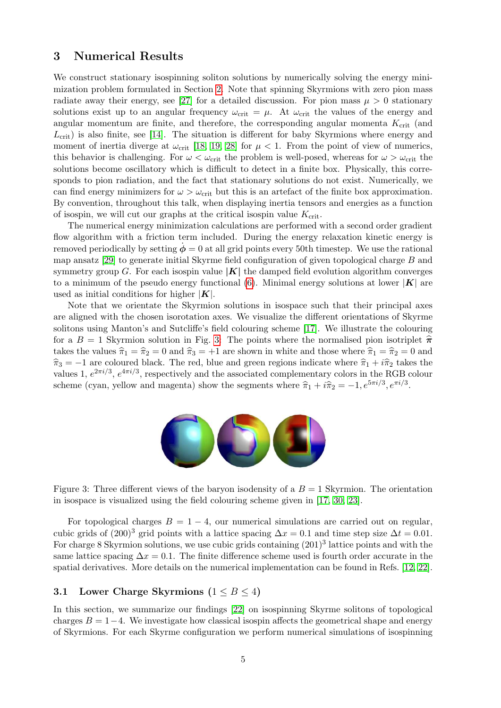#### 3 Numerical Results

We construct stationary isospinning soliton solutions by numerically solving the energy minimization problem formulated in Section [2.](#page-1-0) Note that spinning Skyrmions with zero pion mass radiate away their energy, see [\[27\]](#page-10-13) for a detailed discussion. For pion mass  $\mu > 0$  stationary solutions exist up to an angular frequency  $\omega_{\text{crit}} = \mu$ . At  $\omega_{\text{crit}}$  the values of the energy and angular momentum are finite, and therefore, the corresponding angular momenta  $K_{\text{crit}}$  (and  $L_{\text{crit}}$ ) is also finite, see [\[14\]](#page-10-0). The situation is different for baby Skyrmions where energy and moment of inertia diverge at  $\omega_{\text{crit}}$  [\[18,](#page-10-4) [19,](#page-10-5) [28\]](#page-10-14) for  $\mu < 1$ . From the point of view of numerics, this behavior is challenging. For  $\omega < \omega_{\rm crit}$  the problem is well-posed, whereas for  $\omega > \omega_{\rm crit}$  the solutions become oscillatory which is difficult to detect in a finite box. Physically, this corresponds to pion radiation, and the fact that stationary solutions do not exist. Numerically, we can find energy minimizers for  $\omega > \omega_{\text{crit}}$  but this is an artefact of the finite box approximation. By convention, throughout this talk, when displaying inertia tensors and energies as a function of isospin, we will cut our graphs at the critical isospin value  $K_{\text{crit}}$ .

The numerical energy minimization calculations are performed with a second order gradient flow algorithm with a friction term included. During the energy relaxation kinetic energy is removed periodically by setting  $\dot{\phi} = 0$  at all grid points every 50th timestep. We use the rational map ansatz  $[29]$  to generate initial Skyrme field configuration of given topological charge B and symmetry group G. For each isospin value  $|K|$  the damped field evolution algorithm converges to a minimum of the pseudo energy functional [\(6\)](#page-3-3). Minimal energy solutions at lower  $|K|$  are used as initial conditions for higher  $|K|$ .

Note that we orientate the Skyrmion solutions in isospace such that their principal axes are aligned with the chosen isorotation axes. We visualize the different orientations of Skyrme solitons using Manton's and Sutcliffe's field colouring scheme [\[17\]](#page-10-3). We illustrate the colouring for a  $B = 1$  Skyrmion solution in Fig. [3:](#page-4-1) The points where the normalised pion isotriplet  $\hat{\pi}$ takes the values  $\hat{\pi}_1 = \hat{\pi}_2 = 0$  and  $\hat{\pi}_3 = +1$  are shown in white and those where  $\hat{\pi}_1 = \hat{\pi}_2 = 0$  and  $\hat{\pi}_3 = -1$  are coloured black. The red, blue and green regions indicate where  $\hat{\pi}_1 + i\hat{\pi}_2$  takes the values 1,  $e^{2\pi i/3}$ ,  $e^{4\pi i/3}$ , respectively and the associated complementary colors in the RGB colour scheme (cyan, yellow and magenta) show the segments where  $\hat{\pi}_1 + i\hat{\pi}_2 = -1, e^{5\pi i/3}, e^{\pi i/3}$ .



Figure 3: Three different views of the baryon isodensity of a  $B = 1$  Skyrmion. The orientation in isospace is visualized using the field colouring scheme given in [\[17,](#page-10-3) [30,](#page-10-16) [23\]](#page-10-9).

<span id="page-5-0"></span>For topological charges  $B = 1 - 4$ , our numerical simulations are carried out on regular, cubic grids of  $(200)^3$  grid points with a lattice spacing  $\Delta x = 0.1$  and time step size  $\Delta t = 0.01$ . For charge 8 Skyrmion solutions, we use cubic grids containing  $(201)^3$  lattice points and with the same lattice spacing  $\Delta x = 0.1$ . The finite difference scheme used is fourth order accurate in the spatial derivatives. More details on the numerical implementation can be found in Refs. [\[12,](#page-9-11) [22\]](#page-10-8).

#### 3.1 Lower Charge Skyrmions  $(1 \leq B \leq 4)$

In this section, we summarize our findings [\[22\]](#page-10-8) on isospinning Skyrme solitons of topological charges  $B = 1-4$ . We investigate how classical isospin affects the geometrical shape and energy of Skyrmions. For each Skyrme configuration we perform numerical simulations of isospinning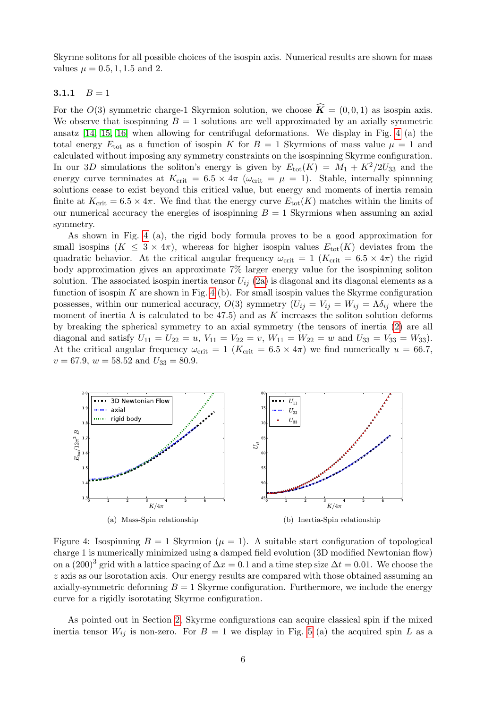Skyrme solitons for all possible choices of the isospin axis. Numerical results are shown for mass values  $\mu = 0.5, 1, 1.5$  and 2.

#### 3.1.1  $B = 1$

For the  $O(3)$  symmetric charge-1 Skyrmion solution, we choose  $\widehat{K} = (0, 0, 1)$  as isospin axis. We observe that isospinning  $B = 1$  solutions are well approximated by an axially symmetric ansatz [\[14,](#page-10-0) [15,](#page-10-1) [16\]](#page-10-2) when allowing for centrifugal deformations. We display in Fig. [4](#page-5-0) (a) the total energy  $E_{\text{tot}}$  as a function of isospin K for  $B = 1$  Skyrmions of mass value  $\mu = 1$  and calculated without imposing any symmetry constraints on the isospinning Skyrme configuration. In our 3D simulations the soliton's energy is given by  $E_{\text{tot}}(K) = M_1 + K^2/2U_{33}$  and the energy curve terminates at  $K_{\text{crit}} = 6.5 \times 4\pi \ (\omega_{\text{crit}} = \mu = 1)$ . Stable, internally spinnning solutions cease to exist beyond this critical value, but energy and moments of inertia remain finite at  $K_{\text{crit}} = 6.5 \times 4\pi$ . We find that the energy curve  $E_{\text{tot}}(K)$  matches within the limits of our numerical accuracy the energies of isospinning  $B = 1$  Skyrmions when assuming an axial symmetry.

As shown in Fig. [4](#page-5-0) (a), the rigid body formula proves to be a good approximation for small isospins  $(K \leq 3 \times 4\pi)$ , whereas for higher isospin values  $E_{tot}(K)$  deviates from the quadratic behavior. At the critical angular frequency  $\omega_{\text{crit}} = 1$  ( $K_{\text{crit}} = 6.5 \times 4\pi$ ) the rigid body approximation gives an approximate 7% larger energy value for the isospinning soliton solution. The associated isospin inertia tensor  $U_{ij}$  [\(2a\)](#page-2-1) is diagonal and its diagonal elements as a function of isospin  $K$  are shown in Fig. [4](#page-5-0) (b). For small isospin values the Skyrme configuration possesses, within our numerical accuracy,  $O(3)$  symmetry  $(U_{ij} = V_{ij} = W_{ij} = \Lambda \delta_{ij}$  where the moment of inertia  $\Lambda$  is calculated to be 47.5) and as K increases the soliton solution deforms by breaking the spherical symmetry to an axial symmetry (the tensors of inertia [\(2\)](#page-2-2) are all diagonal and satisfy  $U_{11} = U_{22} = u$ ,  $V_{11} = V_{22} = v$ ,  $W_{11} = W_{22} = w$  and  $U_{33} = V_{33} = W_{33}$ ). At the critical angular frequency  $\omega_{\text{crit}} = 1$  ( $K_{\text{crit}} = 6.5 \times 4\pi$ ) we find numerically  $u = 66.7$ ,  $v = 67.9, w = 58.52 \text{ and } U_{33} = 80.9.$ 



<span id="page-6-0"></span>Figure 4: Isospinning  $B = 1$  Skyrmion ( $\mu = 1$ ). A suitable start configuration of topological charge 1 is numerically minimized using a damped field evolution (3D modified Newtonian flow) on a (200)<sup>3</sup> grid with a lattice spacing of  $\Delta x = 0.1$  and a time step size  $\Delta t = 0.01$ . We choose the  $z$  axis as our isorotation axis. Our energy results are compared with those obtained assuming an axially-symmetric deforming  $B = 1$  Skyrme configuration. Furthermore, we include the energy curve for a rigidly isorotating Skyrme configuration.

As pointed out in Section [2,](#page-1-0) Skyrme configurations can acquire classical spin if the mixed inertia tensor  $W_{ij}$  is non-zero. For  $B = 1$  we display in Fig. [5](#page-6-0) (a) the acquired spin L as a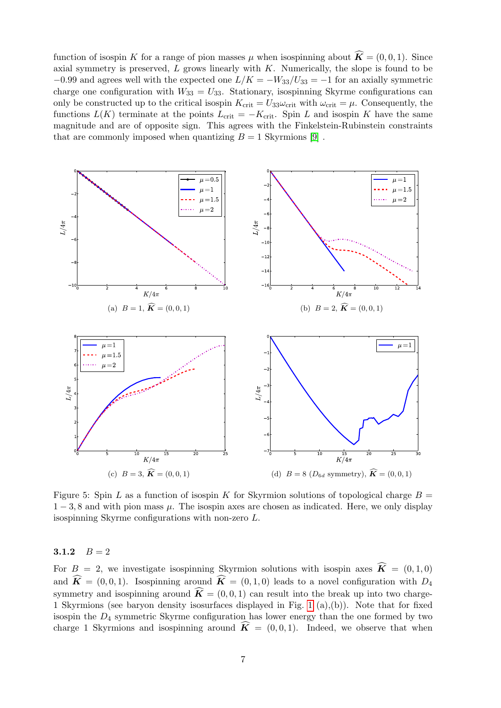function of isospin K for a range of pion masses  $\mu$  when isospinning about  $\mathbf{K} = (0, 0, 1)$ . Since axial symmetry is preserved,  $L$  grows linearly with  $K$ . Numerically, the slope is found to be  $-0.99$  and agrees well with the expected one  $L/K = -W_{33}/U_{33} = -1$  for an axially symmetric charge one configuration with  $W_{33} = U_{33}$ . Stationary, isospinning Skyrme configurations can only be constructed up to the critical isospin  $K_{\text{crit}} = U_{33}\omega_{\text{crit}}$  with  $\omega_{\text{crit}} = \mu$ . Consequently, the functions  $L(K)$  terminate at the points  $L_{\text{crit}} = -K_{\text{crit}}$ . Spin L and isospin K have the same magnitude and are of opposite sign. This agrees with the Finkelstein-Rubinstein constraints that are commonly imposed when quantizing  $B = 1$  Skyrmions [\[9\]](#page-9-8).



Figure 5: Spin L as a function of isospin K for Skyrmion solutions of topological charge  $B =$  $1-3, 8$  and with pion mass  $\mu$ . The isospin axes are chosen as indicated. Here, we only display isospinning Skyrme configurations with non-zero L.

#### 3.1.2  $B = 2$

For  $B = 2$ , we investigate isospinning Skyrmion solutions with isospin axes  $\widehat{K} = (0, 1, 0)$ and  $\widehat{K} = (0, 0, 1)$ . Isospinning around  $\widehat{K} = (0, 1, 0)$  leads to a novel configuration with  $D_4$ symmetry and isospinning around  $\widehat{\mathbf{K}} = (0, 0, 1)$  can result into the break up into two charge-1 Skyrmions (see baryon density isosurfaces displayed in Fig. [1](#page-1-1) (a),(b)). Note that for fixed isospin the  $D_4$  symmetric Skyrme configuration has lower energy than the one formed by two charge 1 Skyrmions and isospinning around  $\widehat{K} = (0, 0, 1)$ . Indeed, we observe that when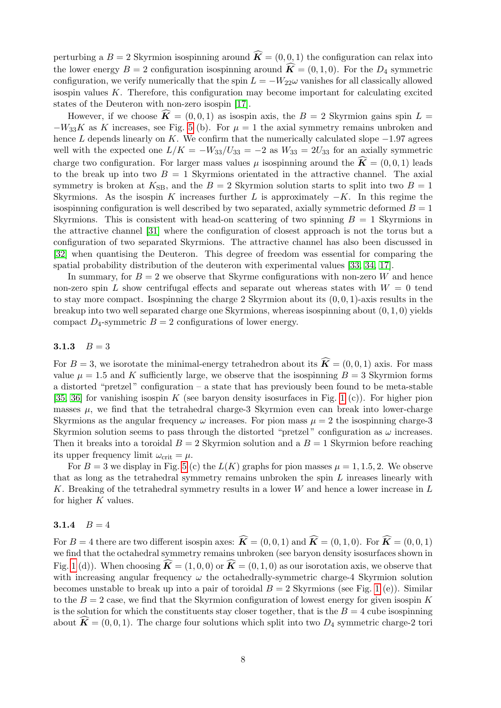perturbing a  $B = 2$  Skyrmion isospinning around  $\widehat{K} = (0, 0, 1)$  the configuration can relax into the lower energy  $B = 2$  configuration isospinning around  $\widehat{K} = (0, 1, 0)$ . For the  $D_4$  symmetric configuration, we verify numerically that the spin  $L = -W_{22}\omega$  vanishes for all classically allowed isospin values K. Therefore, this configuration may become important for calculating excited states of the Deuteron with non-zero isospin [\[17\]](#page-10-3).

However, if we choose  $\widehat{K} = (0, 0, 1)$  as isospin axis, the  $B = 2$  Skyrmion gains spin  $L =$  $-W_{33}K$  as K increases, see Fig. [5](#page-6-0) (b). For  $\mu = 1$  the axial symmetry remains unbroken and hence L depends linearly on K. We confirm that the numerically calculated slope  $-1.97$  agrees well with the expected one  $L/K = -W_{33}/U_{33} = -2$  as  $W_{33} = 2U_{33}$  for an axially symmetric charge two configuration. For larger mass values  $\mu$  isospinning around the  $\widehat{\mathbf{K}} = (0, 0, 1)$  leads to the break up into two  $B = 1$  Skyrmions orientated in the attractive channel. The axial symmetry is broken at  $K_{\text{SB}}$ , and the  $B = 2$  Skyrmion solution starts to split into two  $B = 1$ Skyrmions. As the isospin K increases further L is approximately  $-K$ . In this regime the isospinning configuration is well described by two separated, axially symmetric deformed  $B = 1$ Skyrmions. This is consistent with head-on scattering of two spinning  $B = 1$  Skyrmions in the attractive channel [\[31\]](#page-10-17) where the configuration of closest approach is not the torus but a configuration of two separated Skyrmions. The attractive channel has also been discussed in [\[32\]](#page-10-18) when quantising the Deuteron. This degree of freedom was essential for comparing the spatial probability distribution of the deuteron with experimental values [\[33,](#page-10-19) [34,](#page-10-20) [17\]](#page-10-3).

<span id="page-8-0"></span>In summary, for  $B = 2$  we observe that Skyrme configurations with non-zero W and hence non-zero spin L show centrifugal effects and separate out whereas states with  $W = 0$  tend to stay more compact. Isospinning the charge 2 Skyrmion about its  $(0, 0, 1)$ -axis results in the breakup into two well separated charge one Skyrmions, whereas isospinning about  $(0, 1, 0)$  yields compact  $D_4$ -symmetric  $B = 2$  configurations of lower energy.

#### 3.1.3  $B = 3$

For  $B = 3$ , we isorotate the minimal-energy tetrahedron about its  $\widehat{K} = (0, 0, 1)$  axis. For mass value  $\mu = 1.5$  and K sufficiently large, we observe that the isospinning  $B = 3$  Skyrmion forms a distorted "pretzel " configuration – a state that has previously been found to be meta-stable [\[35,](#page-10-21) [36\]](#page-10-22) for vanishing isospin K (see baryon density isosurfaces in Fig. [1](#page-1-1) (c)). For higher pion masses  $\mu$ , we find that the tetrahedral charge-3 Skyrmion even can break into lower-charge Skyrmions as the angular frequency  $\omega$  increases. For pion mass  $\mu = 2$  the isospinning charge-3 Skyrmion solution seems to pass through the distorted "pretzel" configuration as  $\omega$  increases. Then it breaks into a toroidal  $B = 2$  Skyrmion solution and a  $B = 1$  Skyrmion before reaching its upper frequency limit  $\omega_{\rm crit} = \mu$ .

For  $B = 3$  we display in Fig. [5](#page-6-0) (c) the  $L(K)$  graphs for pion masses  $\mu = 1, 1.5, 2$ . We observe that as long as the tetrahedral symmetry remains unbroken the spin  $L$  inreases linearly with K. Breaking of the tetrahedral symmetry results in a lower W and hence a lower increase in L for higher  $K$  values.

#### 3.1.4  $B = 4$

For  $B = 4$  there are two different isospin axes:  $\widehat{K} = (0, 0, 1)$  and  $\widehat{K} = (0, 1, 0)$ . For  $\widehat{K} = (0, 0, 1)$ we find that the octahedral symmetry remains unbroken (see baryon density isosurfaces shown in Fig. [1](#page-1-1) (d)). When choosing  $\widehat{\mathbf{K}} = (1, 0, 0)$  or  $\widehat{\mathbf{K}} = (0, 1, 0)$  as our isorotation axis, we observe that with increasing angular frequency  $\omega$  the octahedrally-symmetric charge-4 Skyrmion solution becomes unstable to break up into a pair of toroidal  $B = 2$  Skyrmions (see Fig. [1](#page-1-1) (e)). Similar to the  $B = 2$  case, we find that the Skyrmion configuration of lowest energy for given isospin K is the solution for which the constituents stay closer together, that is the  $B = 4$  cube isospinning about  $\widehat{K} = (0, 0, 1)$ . The charge four solutions which split into two  $D_4$  symmetric charge-2 tori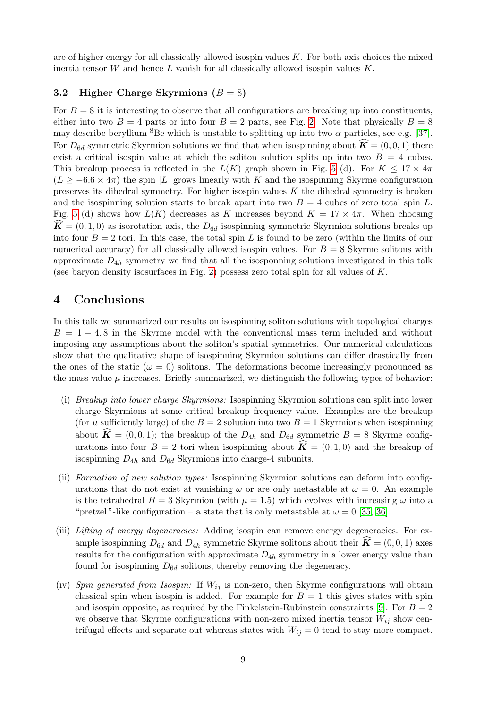are of higher energy for all classically allowed isospin values  $K$ . For both axis choices the mixed inertia tensor  $W$  and hence  $L$  vanish for all classically allowed isospin values  $K$ .

#### 3.2 Higher Charge Skyrmions  $(B = 8)$

For  $B = 8$  it is interesting to observe that all configurations are breaking up into constituents, either into two  $B = 4$  parts or into four  $B = 2$  parts, see Fig. [2.](#page-3-0) Note that physically  $B = 8$ may describe beryllium <sup>8</sup>Be which is unstable to splitting up into two  $\alpha$  particles, see e.g. [\[37\]](#page-10-23). For  $D_{6d}$  symmetric Skyrmion solutions we find that when isospinning about  $\widehat{K} = (0, 0, 1)$  there exist a critical isospin value at which the soliton solution splits up into two  $B = 4$  cubes. This breakup process is reflected in the  $L(K)$  graph shown in Fig. [5](#page-6-0) (d). For  $K \leq 17 \times 4\pi$  $(L \ge -6.6 \times 4\pi)$  the spin |L| grows linearly with K and the isospinning Skyrme configuration preserves its dihedral symmetry. For higher isospin values  $K$  the dihedral symmetry is broken and the isospinning solution starts to break apart into two  $B = 4$  cubes of zero total spin L. Fig. [5](#page-6-0) (d) shows how  $L(K)$  decreases as K increases beyond  $K = 17 \times 4\pi$ . When choosing  $\widetilde{\mathbf{K}} = (0, 1, 0)$  as isorotation axis, the  $D_{6d}$  isospinning symmetric Skyrmion solutions breaks up into four  $B = 2$  tori. In this case, the total spin L is found to be zero (within the limits of our numerical accuracy) for all classically allowed isospin values. For  $B = 8$  Skyrme solitons with approximate  $D_{4h}$  symmetry we find that all the isosponning solutions investigated in this talk (see baryon density isosurfaces in Fig. [2\)](#page-3-0) possess zero total spin for all values of  $K$ .

#### 4 Conclusions

In this talk we summarized our results on isospinning soliton solutions with topological charges  $B = 1 - 4, 8$  in the Skyrme model with the conventional mass term included and without imposing any assumptions about the soliton's spatial symmetries. Our numerical calculations show that the qualitative shape of isospinning Skyrmion solutions can differ drastically from the ones of the static ( $\omega = 0$ ) solitons. The deformations become increasingly pronounced as the mass value  $\mu$  increases. Briefly summarized, we distinguish the following types of behavior:

- <span id="page-9-4"></span><span id="page-9-3"></span><span id="page-9-2"></span><span id="page-9-1"></span><span id="page-9-0"></span>(i) *Breakup into lower charge Skyrmions:* Isospinning Skyrmion solutions can split into lower charge Skyrmions at some critical breakup frequency value. Examples are the breakup (for  $\mu$  sufficiently large) of the  $B = 2$  solution into two  $B = 1$  Skyrmions when isospinning about  $\mathbf{K} = (0, 0, 1)$ ; the breakup of the  $D_{4h}$  and  $D_{6d}$  symmetric  $B = 8$  Skyrme configurations into four  $B = 2$  tori when isospinning about  $\mathbf{K} = (0, 1, 0)$  and the breakup of isospinning  $D_{4h}$  and  $D_{6d}$  Skyrmions into charge-4 subunits.
- <span id="page-9-7"></span><span id="page-9-6"></span><span id="page-9-5"></span>(ii) *Formation of new solution types:* Isospinning Skyrmion solutions can deform into configurations that do not exist at vanishing  $\omega$  or are only metastable at  $\omega = 0$ . An example is the tetrahedral  $B = 3$  Skyrmion (with  $\mu = 1.5$ ) which evolves with increasing  $\omega$  into a "pretzel"-like configuration – a state that is only metastable at  $\omega = 0$  [\[35,](#page-10-21) [36\]](#page-10-22).
- <span id="page-9-9"></span><span id="page-9-8"></span>(iii) *Lifting of energy degeneracies:* Adding isospin can remove energy degeneracies. For example isospinning  $D_{6d}$  and  $D_{4h}$  symmetric Skyrme solitons about their  $\widehat{K} = (0, 0, 1)$  axes results for the configuration with approximate  $D_{4h}$  symmetry in a lower energy value than found for isospinning  $D_{6d}$  solitons, thereby removing the degeneracy.
- <span id="page-9-12"></span><span id="page-9-11"></span><span id="page-9-10"></span>(iv) *Spin generated from Isospin:* If  $W_{ij}$  is non-zero, then Skyrme configurations will obtain classical spin when isospin is added. For example for  $B = 1$  this gives states with spin and isospin opposite, as required by the Finkelstein-Rubinstein constraints [\[9\]](#page-9-8). For  $B = 2$ we observe that Skyrme configurations with non-zero mixed inertia tensor  $W_{ij}$  show centrifugal effects and separate out whereas states with  $W_{ij} = 0$  tend to stay more compact.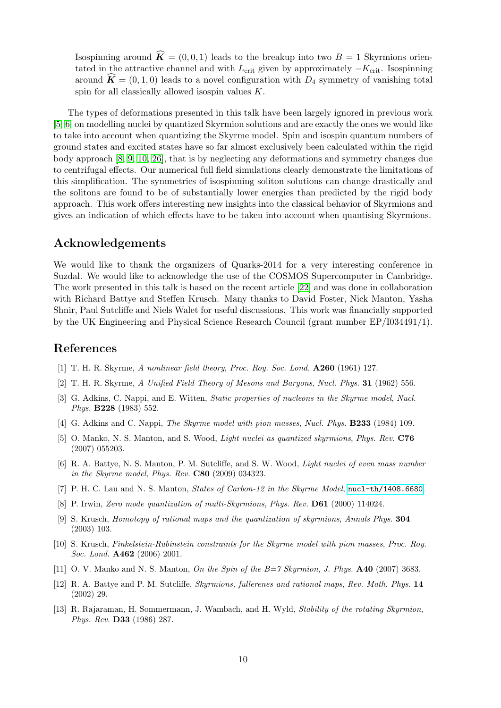<span id="page-10-1"></span><span id="page-10-0"></span>Isospinning around  $\mathbf{\hat{K}} = (0, 0, 1)$  leads to the breakup into two  $B = 1$  Skyrmions orientated in the attractive channel and with  $L_{\text{crit}}$  given by approximately  $-K_{\text{crit}}$ . Isospinning around  $\mathbf{K} = (0, 1, 0)$  leads to a novel configuration with  $D_4$  symmetry of vanishing total spin for all classically allowed isospin values K.

<span id="page-10-5"></span><span id="page-10-4"></span><span id="page-10-3"></span><span id="page-10-2"></span>The types of deformations presented in this talk have been largely ignored in previous work [\[5,](#page-9-4) [6\]](#page-9-5) on modelling nuclei by quantized Skyrmion solutions and are exactly the ones we would like to take into account when quantizing the Skyrme model. Spin and isospin quantum numbers of ground states and excited states have so far almost exclusively been calculated within the rigid body approach [\[8,](#page-9-7) [9,](#page-9-8) [10,](#page-9-9) [26\]](#page-10-12), that is by neglecting any deformations and symmetry changes due to centrifugal effects. Our numerical full field simulations clearly demonstrate the limitations of this simplification. The symmetries of isospinning soliton solutions can change drastically and the solitons are found to be of substantially lower energies than predicted by the rigid body approach. This work offers interesting new insights into the classical behavior of Skyrmions and gives an indication of which effects have to be taken into account when quantising Skyrmions.

## <span id="page-10-8"></span><span id="page-10-7"></span><span id="page-10-6"></span>Acknowledgements

<span id="page-10-10"></span><span id="page-10-9"></span>We would like to thank the organizers of Quarks-2014 for a very interesting conference in Suzdal. We would like to acknowledge the use of the COSMOS Supercomputer in Cambridge. The work presented in this talk is based on the recent article [\[22\]](#page-10-8) and was done in collaboration with Richard Battye and Steffen Krusch. Many thanks to David Foster, Nick Manton, Yasha Shnir, Paul Sutcliffe and Niels Walet for useful discussions. This work was financially supported by the UK Engineering and Physical Science Research Council (grant number EP/I034491/1).

### <span id="page-10-12"></span><span id="page-10-11"></span>References

- <span id="page-10-13"></span>[1] T. H. R. Skyrme, *A nonlinear field theory*, *Proc. Roy. Soc. Lond.* A260 (1961) 127.
- <span id="page-10-14"></span>[2] T. H. R. Skyrme, *A Unified Field Theory of Mesons and Baryons*, *Nucl. Phys.* 31 (1962) 556.
- <span id="page-10-15"></span>[3] G. Adkins, C. Nappi, and E. Witten, *Static properties of nucleons in the Skyrme model*, *Nucl. Phys.* B228 (1983) 552.
- <span id="page-10-16"></span>[4] G. Adkins and C. Nappi, *The Skyrme model with pion masses*, *Nucl. Phys.* B233 (1984) 109.
- <span id="page-10-17"></span>[5] O. Manko, N. S. Manton, and S. Wood, *Light nuclei as quantized skyrmions*, *Phys. Rev.* C76 (2007) 055203.
- <span id="page-10-18"></span>[6] R. A. Battye, N. S. Manton, P. M. Sutcliffe, and S. W. Wood, *Light nuclei of even mass number in the Skyrme model*, *Phys. Rev.* C80 (2009) 034323.
- <span id="page-10-19"></span>[7] P. H. C. Lau and N. S. Manton, *States of Carbon-12 in the Skyrme Model*, [nucl-th/1408.6680](http://arxiv.org/abs/nucl-th/1408.6680).
- <span id="page-10-20"></span>[8] P. Irwin, *Zero mode quantization of multi-Skyrmions*, *Phys. Rev.* D61 (2000) 114024.
- <span id="page-10-21"></span>[9] S. Krusch, *Homotopy of rational maps and the quantization of skyrmions*, *Annals Phys.* 304 (2003) 103.
- <span id="page-10-22"></span>[10] S. Krusch, *Finkelstein-Rubinstein constraints for the Skyrme model with pion masses*, *Proc. Roy. Soc. Lond.* A462 (2006) 2001.
- <span id="page-10-23"></span>[11] O. V. Manko and N. S. Manton, *On the Spin of the B=7 Skyrmion*, *J. Phys.* A40 (2007) 3683.
- [12] R. A. Battye and P. M. Sutcliffe, *Skyrmions, fullerenes and rational maps*, *Rev. Math. Phys.* 14 (2002) 29.
- [13] R. Rajaraman, H. Sommermann, J. Wambach, and H. Wyld, *Stability of the rotating Skyrmion*, *Phys. Rev.* D33 (1986) 287.